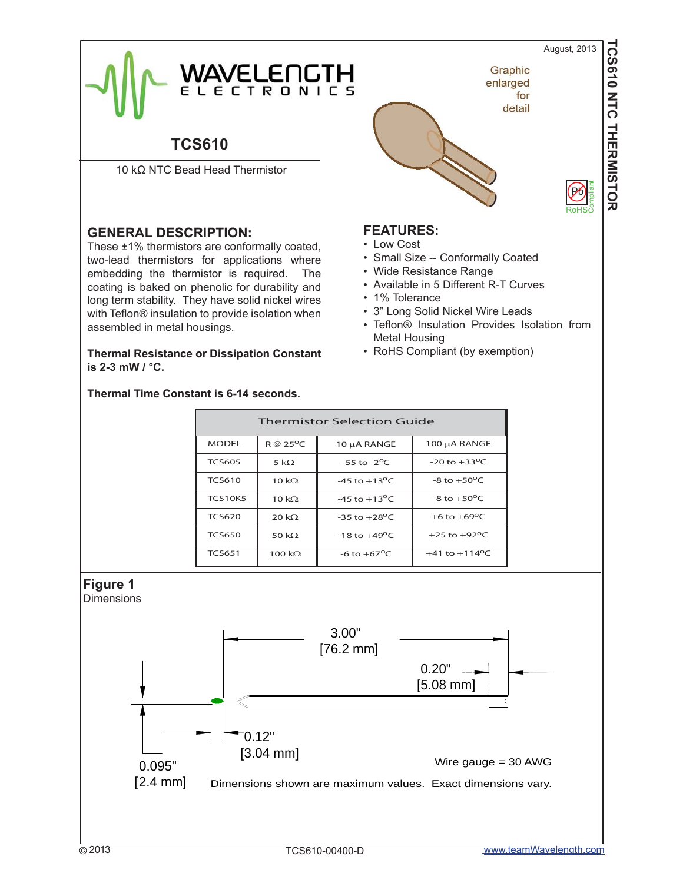August, 2013

Pb

Compliant

**TCS610 NTC THERMISTOR**

TCS610 NTC THERMISTOR



# **TCS610**

10 kΩ NTC Bead Head Thermistor

# **GENERAL DESCRIPTION:**

These ±1% thermistors are conformally coated, two-lead thermistors for applications where embedding the thermistor is required. The coating is baked on phenolic for durability and long term stability. They have solid nickel wires with Teflon® insulation to provide isolation when assembled in metal housings.

**Thermal Resistance or Dissipation Constant is 2-3 mW / °C.**

#### **Thermal Time Constant is 6-14 seconds.**



## **FEATURES:**

- Low Cost
- Small Size -- Conformally Coated
- Wide Resistance Range
- Available in 5 Different R-T Curves
- 1% Tolerance
- 3" Long Solid Nickel Wire Leads
- Teflon® Insulation Provides Isolation from Metal Housing
- RoHS Compliant (by exemption)

|                                                                 | <b>Thermistor Selection Guide</b> |                      |                                                                                             |                                               |  |
|-----------------------------------------------------------------|-----------------------------------|----------------------|---------------------------------------------------------------------------------------------|-----------------------------------------------|--|
|                                                                 | <b>MODEL</b>                      | R @ 25°C             | 10 µA RANGE                                                                                 | 100 μA RANGE                                  |  |
|                                                                 | <b>TCS605</b>                     | 5 k $\Omega$         | $-55$ to $-2$ <sup>o</sup> C                                                                | -20 to $+33^{\circ}$ C                        |  |
|                                                                 | <b>TCS610</b>                     | 10 k $\Omega$        | -45 to $+13^{\circ}$ C                                                                      | -8 to $+50^{\circ}$ C                         |  |
|                                                                 | <b>TCS10K5</b>                    | 10 $k\Omega$         | -45 to $+13^{\circ}$ C                                                                      | -8 to $+50^{\circ}$ C                         |  |
|                                                                 | <b>TCS620</b>                     | 20 k $\Omega$        | -35 to $+28^{\circ}$ C                                                                      | +6 to $+69^{\circ}$ C                         |  |
|                                                                 | <b>TCS650</b>                     | 50 k $\Omega$        | $-18$ to $+49^{\circ}$ C                                                                    | +25 to +92°C                                  |  |
|                                                                 | <b>TCS651</b>                     | 100 $k\Omega$        | -6 to $+67^{\circ}$ C                                                                       | +41 to +114°C                                 |  |
| <b>Figure 1</b><br>Dimensions<br>0.095"<br>$[2.4 \, \text{mm}]$ |                                   | 0.12"<br>$[3.04$ mm] | 3.00"<br>$[76.2 \text{ mm}]$<br>Dimensions shown are maximum values. Exact dimensions vary. | 0.20"<br>$[5.08$ mm]<br>Wire gauge $=$ 30 AWG |  |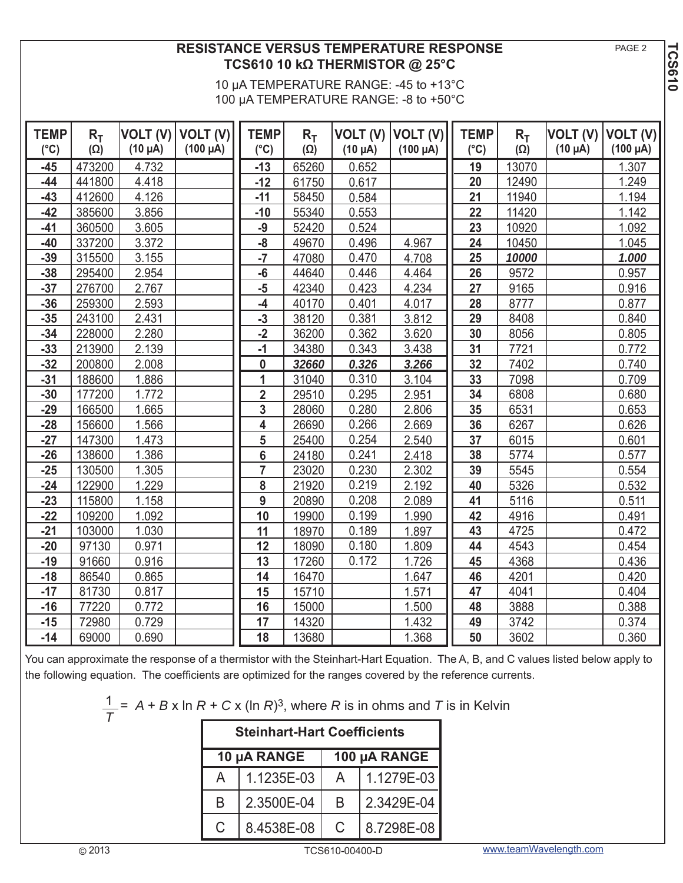**PAGE 2** 

**TCS610**

# **RESISTANCE VERSUS TEMPERATURE RESPONSE TCS610 10 kΩ THERMISTOR @ 25°C**

10 μA TEMPERATURE RANGE: -45 to +13°C 100 μA TEMPERATURE RANGE: -8 to +50°C

| <b>TEMP</b><br>$(^{\circ}C)$ | $R_T$<br>$(\Omega)$ | $(10 \mu A)$ | VOLT (V)   VOLT (V)<br>$(100 \mu A)$ | <b>TEMP</b><br>$(^{\circ}C)$ | $R_T$<br>$(\Omega)$ | VOLT (V)<br>$(10 \mu A)$ | VOLT (V)<br>$(100 \mu A)$ | <b>TEMP</b><br>$(^{\circ}C)$ | $R_T$<br>$(\Omega)$ | VOLT (V)<br>$(10 \mu A)$ | VOLT (V)<br>$(100 \mu A)$ |
|------------------------------|---------------------|--------------|--------------------------------------|------------------------------|---------------------|--------------------------|---------------------------|------------------------------|---------------------|--------------------------|---------------------------|
| $-45$                        | 473200              | 4.732        |                                      | $-13$                        | 65260               | 0.652                    |                           | 19                           | 13070               |                          | 1.307                     |
| $-44$                        | 441800              | 4.418        |                                      | $-12$                        | 61750               | 0.617                    |                           | 20                           | 12490               |                          | 1.249                     |
| $-43$                        | 412600              | 4.126        |                                      | $-11$                        | 58450               | 0.584                    |                           | 21                           | 11940               |                          | 1.194                     |
| $-42$                        | 385600              | 3.856        |                                      | $-10$                        | 55340               | 0.553                    |                           | 22                           | 11420               |                          | 1.142                     |
| $-41$                        | 360500              | 3.605        |                                      | $-9$                         | 52420               | 0.524                    |                           | 23                           | 10920               |                          | 1.092                     |
| $-40$                        | 337200              | 3.372        |                                      | $-\mathbf{8}$                | 49670               | 0.496                    | 4.967                     | 24                           | 10450               |                          | 1.045                     |
| $-39$                        | 315500              | 3.155        |                                      | $-7$                         | 47080               | 0.470                    | 4.708                     | 25                           | 10000               |                          | 1.000                     |
| $-38$                        | 295400              | 2.954        |                                      | $-6$                         | 44640               | 0.446                    | 4.464                     | 26                           | 9572                |                          | 0.957                     |
| $-37$                        | 276700              | 2.767        |                                      | $-5$                         | 42340               | 0.423                    | 4.234                     | 27                           | 9165                |                          | 0.916                     |
| $-36$                        | 259300              | 2.593        |                                      | -4                           | 40170               | 0.401                    | 4.017                     | 28                           | 8777                |                          | 0.877                     |
| $-35$                        | 243100              | 2.431        |                                      | $-3$                         | 38120               | 0.381                    | 3.812                     | 29                           | 8408                |                          | 0.840                     |
| $-34$                        | 228000              | 2.280        |                                      | $-2$                         | 36200               | 0.362                    | 3.620                     | 30                           | 8056                |                          | 0.805                     |
| $-33$                        | 213900              | 2.139        |                                      | $-1$                         | 34380               | 0.343                    | 3.438                     | 31                           | 7721                |                          | 0.772                     |
| $-32$                        | 200800              | 2.008        |                                      | 0                            | 32660               | 0.326                    | 3.266                     | 32                           | 7402                |                          | 0.740                     |
| $-31$                        | 188600              | 1.886        |                                      | $\overline{1}$               | 31040               | 0.310                    | 3.104                     | 33                           | 7098                |                          | 0.709                     |
| $-30$                        | 177200              | 1.772        |                                      | $\overline{\mathbf{2}}$      | 29510               | 0.295                    | 2.951                     | 34                           | 6808                |                          | 0.680                     |
| $-29$                        | 166500              | 1.665        |                                      | 3                            | 28060               | 0.280                    | 2.806                     | 35                           | 6531                |                          | 0.653                     |
| $-28$                        | 156600              | 1.566        |                                      | $\overline{\mathbf{4}}$      | 26690               | 0.266                    | 2.669                     | 36                           | 6267                |                          | 0.626                     |
| $-27$                        | 147300              | 1.473        |                                      | 5                            | 25400               | 0.254                    | 2.540                     | 37                           | 6015                |                          | 0.601                     |
| $-26$                        | 138600              | 1.386        |                                      | 6                            | 24180               | 0.241                    | 2.418                     | 38                           | 5774                |                          | 0.577                     |
| $-25$                        | 130500              | 1.305        |                                      | $\overline{7}$               | 23020               | 0.230                    | 2.302                     | 39                           | 5545                |                          | 0.554                     |
| $-24$                        | 122900              | 1.229        |                                      | 8                            | 21920               | 0.219                    | 2.192                     | 40                           | 5326                |                          | 0.532                     |
| $-23$                        | 115800              | 1.158        |                                      | 9                            | 20890               | 0.208                    | 2.089                     | 41                           | 5116                |                          | 0.511                     |
| $-22$                        | 109200              | 1.092        |                                      | 10                           | 19900               | 0.199                    | 1.990                     | 42                           | 4916                |                          | 0.491                     |
| $-21$                        | 103000              | 1.030        |                                      | 11                           | 18970               | 0.189                    | 1.897                     | 43                           | 4725                |                          | 0.472                     |
| $-20$                        | 97130               | 0.971        |                                      | 12                           | 18090               | 0.180                    | 1.809                     | 44                           | 4543                |                          | 0.454                     |
| $-19$                        | 91660               | 0.916        |                                      | 13                           | 17260               | 0.172                    | 1.726                     | 45                           | 4368                |                          | 0.436                     |
| $-18$                        | 86540               | 0.865        |                                      | 14                           | 16470               |                          | 1.647                     | 46                           | 4201                |                          | 0.420                     |
| $-17$                        | 81730               | 0.817        |                                      | 15                           | 15710               |                          | 1.571                     | 47                           | 4041                |                          | 0.404                     |
| $-16$                        | 77220               | 0.772        |                                      | 16                           | 15000               |                          | 1.500                     | 48                           | 3888                |                          | 0.388                     |
| $-15$                        | 72980               | 0.729        |                                      | 17                           | 14320               |                          | 1.432                     | 49                           | 3742                |                          | 0.374                     |
| $-14$                        | 69000               | 0.690        |                                      | 18                           | 13680               |                          | 1.368                     | 50                           | 3602                |                          | 0.360                     |

You can approximate the response of a thermistor with the Steinhart-Hart Equation. The A, B, and C values listed below apply to the following equation. The coefficients are optimized for the ranges covered by the reference currents.

| $\frac{1}{n}$ = A + B x ln R + C x (ln R) <sup>3</sup> , where R is in ohms and T is in Kelvin |                                                                                                                       |  |
|------------------------------------------------------------------------------------------------|-----------------------------------------------------------------------------------------------------------------------|--|
|                                                                                                | <u>and the second community of the second community of the second community of the second community of the second</u> |  |

| <b>Steinhart-Hart Coefficients</b> |             |              |            |  |  |
|------------------------------------|-------------|--------------|------------|--|--|
|                                    | 10 µA RANGE | 100 µA RANGE |            |  |  |
| A                                  | 1.1235E-03  | A            | 1.1279E-03 |  |  |
| B                                  | 2.3500E-04  | B            | 2.3429E-04 |  |  |
| C                                  | 8.4538E-08  | C            | 8.7298E-08 |  |  |

TCS610-00400-D